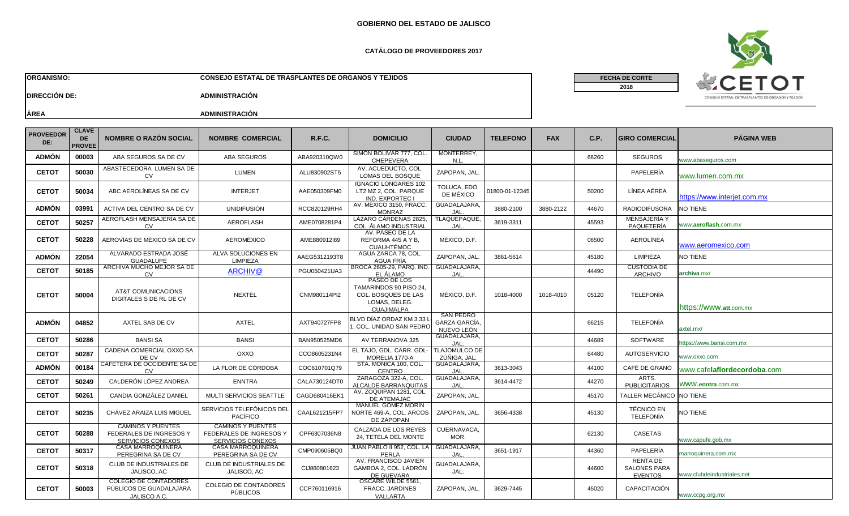### **CATÁLOGO DE PROVEEDORES 2017**

**ORGANISMO: CONSEJO ESTATAL DE TRASPLANTES DE ORGANOS Y TEJIDOS**

**FECHA DE CORTE**

**2018**



**DIRECCIÓN DE: ADMINISTRACIÓN**

| <b>PROVEEDOR</b><br>DE: | <b>CLAVE</b><br><b>DE</b><br><b>PROVEE</b> | <b>NOMBRE O RAZÓN SOCIAL</b>                                             | <b>NOMBRE COMERCIAL</b>                                                         | <b>R.F.C.</b> | <b>DOMICILIO</b>                                                                                    | <b>CIUDAD</b>                                   | <b>TELEFONO</b> | <b>FAX</b> | C.P.  | <b>GIRO COMERCIAL</b>                                    | <b>PÁGINA WEB</b>                    |
|-------------------------|--------------------------------------------|--------------------------------------------------------------------------|---------------------------------------------------------------------------------|---------------|-----------------------------------------------------------------------------------------------------|-------------------------------------------------|-----------------|------------|-------|----------------------------------------------------------|--------------------------------------|
| <b>ADMÓN</b>            | 00003                                      | ABA SEGUROS SA DE CV                                                     | <b>ABA SEGUROS</b>                                                              | ABA920310QW0  | SIMÓN BOLIVAR 777, COL<br><b>CHEPEVERA</b>                                                          | MONTERREY.<br>N.L.                              |                 |            | 66260 | <b>SEGUROS</b>                                           | www.abaseguros.com                   |
| <b>CETOT</b>            | 50030                                      | ABASTECEDORA LUMEN SA DE<br><b>CV</b>                                    | <b>LUMEN</b>                                                                    | ALU830902ST5  | AV. ACUEDUCTO, COL.<br>LOMAS DEL BOSQUE                                                             | ZAPOPAN, JAL.                                   |                 |            |       | PAPELERÍA                                                | www.lumen.com.mx                     |
| <b>CETOT</b>            | 50034                                      | ABC AEROLÍNEAS SA DE CV                                                  | <b>INTERJET</b>                                                                 | AAE050309FM0  | <b>IGNACIO LONGARES 102</b><br>LT2 MZ 2, COL. PARQUE<br><b>IND. EXPORTEC I</b>                      | TOLUCA, EDO.<br>DE MÉXICO                       | 01800-01-12345  |            | 50200 | LÍNEA AÉREA                                              | https://www.interjet.com.mx          |
| <b>ADMÓN</b>            | 03991                                      | ACTIVA DEL CENTRO SA DE CV                                               | <b>UNIDIFUSIÓN</b>                                                              | RCC820129RH4  | AV. MEXICO 3150, FRACC.<br><b>MONRAZ</b>                                                            | GUADALAJARA.<br>JAL                             | 3880-2100       | 3880-2122  | 44670 | <b>RADIODIFUSORA</b>                                     | NO TIENE                             |
| <b>CETOT</b>            | 50257                                      | AEROFLASH MENSAJERIA SA DE<br><b>CV</b>                                  | <b>AEROFLASH</b>                                                                | AME0708281P4  | LAZARO CARDENAS 2825.<br>COL. ÁLAMO INDUSTRIAL                                                      | TLAQUEPAQUE,<br><b>JAL</b>                      | 3619-3311       |            | 45593 | <b>MENSAJERIA Y</b><br>PAQUETERÍA                        | www.aeroflash.com.mx                 |
| <b>CETOT</b>            | 50228                                      | AEROVÍAS DE MÉXICO SA DE CV                                              | AEROMÉXICO                                                                      | AME880912I89  | AV. PASEO DE LA<br>REFORMA 445 A Y B,<br><b>CUAUHTÉMOC</b>                                          | MÉXICO, D.F.                                    |                 |            | 06500 | <b>AEROLÍNEA</b>                                         | www.aeromexico.com                   |
| <b>ADMÓN</b>            | 22054                                      | ALVARADO ESTRADA JOSE<br><b>GUADALUPE</b>                                | ALVA SOLUCIONES EN<br><b>LIMPIEZA</b>                                           | AAEG5312193T8 | AGUA ZARCA 78, COL<br>AGUA FRÍA                                                                     | ZAPOPAN, JAL                                    | 3861-5614       |            | 45180 | <b>LIMPIEZA</b>                                          | NO TIENE                             |
| <b>CETOT</b>            | 50185                                      | ARCHIVA MUCHO MEJOR SA DE<br><b>CV</b>                                   | ARCHIV@                                                                         | PGU050421UA3  | BROCA 2605-29, PARQ. IND.<br>EL ÁLAMO                                                               | GUADALAJARA,<br>JAL.                            |                 |            | 44490 | <b>CUSTODIA DE</b><br><b>ARCHIVO</b>                     | archiva.mx/                          |
| <b>CETOT</b>            | 50004                                      | AT&T COMUNICACIONS<br>DIGITALES S DE RL DE CV                            | NEXTEL                                                                          | CNM980114PI2  | PASEO DE LOS<br>TAMARINDOS 90 PISO 24.<br>COL. BOSQUES DE LAS<br>LOMAS, DELEG.<br><b>CUAJIMALPA</b> | MÉXICO, D.F.                                    | 1018-4000       | 1018-4010  | 05120 | <b>TELEFONÍA</b>                                         | https://www.att.com.mx               |
| <b>ADMÓN</b>            | 04852                                      | AXTEL SAB DE CV                                                          | <b>AXTEL</b>                                                                    | AXT940727FP8  | BLVD DÍAZ ORDAZ KM 3.33<br>COL. UNIDAD SAN PEDRO                                                    | <b>SAN PEDRO</b><br>GARZA GARCÍA.<br>NUEVO LEÓN |                 |            | 66215 | <b>TELEFONÍA</b>                                         | axtel.mx/                            |
| <b>CETOT</b>            | 50286                                      | <b>BANSI SA</b>                                                          | <b>BANSI</b>                                                                    | BAN950525MD6  | AV TERRANOVA 325                                                                                    | GUADALAJARA,<br>JAL                             |                 |            | 44689 | <b>SOFTWARE</b>                                          | https://www.bansi.com.mx             |
| <b>CETOT</b>            | 50287                                      | CADENA COMERCIAL OXXO SA<br>DE CV                                        | OXXO                                                                            | CCO8605231N4  | EL TAJO. GDL. CARR. GDL<br>MORELIA 1770-A                                                           | TLAJOMULCO DE<br>ZÚÑIGA, JAL                    |                 |            | 64480 | <b>AUTOSERVICIO</b>                                      | www.oxxo.com                         |
| <b>ADMÓN</b>            | 00184                                      | CAFETERA DE OCCIDENTE SA DE<br>CV                                        | LA FLOR DE CÓRDOBA                                                              | COC610701Q79  | STA. MONICA 100, COL.<br><b>CENTRO</b>                                                              | GUADALAJARA.<br>JAL.                            | 3613-3043       |            | 44100 | CAFÉ DE GRANO                                            | www.cafe <b>laflordecordoba</b> .com |
| <b>CETOT</b>            | 50249                                      | CALDERÓN LÓPEZ ANDREA                                                    | <b>ENNTRA</b>                                                                   | CALA730124DT0 | ZARAGOZA 322-A, COL.<br>ALCALDE BARRANQUITAS                                                        | GUADALAJARA,<br>JAL.                            | 3614-4472       |            | 44270 | ARTS.<br><b>PUBLICITARIOS</b>                            | WWW.enntra.com.mx                    |
| <b>CETOT</b>            | 50261                                      | CANDIA GONZÁLEZ DANIEL                                                   | <b>MULTI SERVICIOS SEATTLE</b>                                                  | CAGD680416EK  | AV. ZOQUIPAN 1281, COL.<br>DE ATEMAJAC                                                              | ZAPOPAN, JAL                                    |                 |            | 45170 | <b>TALLER MECÁNICO</b>                                   | NO TIENE                             |
| <b>CETOT</b>            | 50235                                      | CHÂVEZ ARAIZA LUIS MIGUEL                                                | SERVICIOS TELEFÓNICOS DEL<br><b>PACÍFICO</b>                                    | CAAL621215FP7 | MANUEL GOMEZ MORIN<br>NORTE 469-A, COL. ARCOS<br>DE ZAPOPAN                                         | ZAPOPAN, JAL                                    | 3656-4338       |            | 45130 | <b>TÉCNICO EN</b><br>TELEFONÍA                           | NO TIENE                             |
| <b>CETOT</b>            | 50288                                      | <b>CAMINOS Y PUENTES</b><br>FEDERALES DE INGRESOS Y<br>SERVICIOS CONEXOS | <b>CAMINOS Y PUENTES</b><br><b>FEDERALES DE INGRESOS Y</b><br>SERVICIOS CONEXOS | CPF6307036N8  | CALZADA DE LOS REYES<br>24, TETELA DEL MONTE                                                        | CUERNAVACA,<br>MOR.                             |                 |            | 62130 | <b>CASETAS</b>                                           | www.capufe.gob.mx                    |
| <b>CETOT</b>            | 50317                                      | CASA MARROQUINERA<br>PEREGRINA SA DE CV                                  | CASA MARROQUINERA<br>PEREGRINA SA DE CV                                         | CMP090605BQ0  | JUAN PABLO II 952, COL. LA<br>PERLA                                                                 | GUADALAJARA,<br>JAL                             | 3651-1917       |            | 44360 | PAPELERÍA                                                | marroquinera.com.mx                  |
| <b>CETOT</b>            | 50318                                      | <b>CLUB DE INDUSTRIALES DE</b><br>JALISCO, AC                            | <b>CLUB DE INDUSTRIALES DE</b><br>JALISCO, AC                                   | CIJ860801623  | AV. FRANCISCO JAVIER<br>GAMBOA 2, COL. LADRÓN<br>DE GUEVARA                                         | GUADALAJARA.<br>JAL.                            |                 |            | 44600 | <b>RENTA DE</b><br><b>SALONES PARA</b><br><b>EVENTOS</b> | www.clubdeindustriales.net           |
| <b>CETOT</b>            | 50003                                      | <b>COLEGIO DE CONTADORES</b><br>PÚBLICOS DE GUADALAJARA<br>JALISCO A.C.  | <b>COLEGIO DE CONTADORES</b><br><b>PÚBLICOS</b>                                 | CCP760116916  | OSCARE WILDE 5561.<br><b>FRACC. JARDINES</b><br>VALLARTA                                            | ZAPOPAN, JAL                                    | 3629-7445       |            | 45020 | CAPACITACIÓN                                             | www.ccpg.org.mx                      |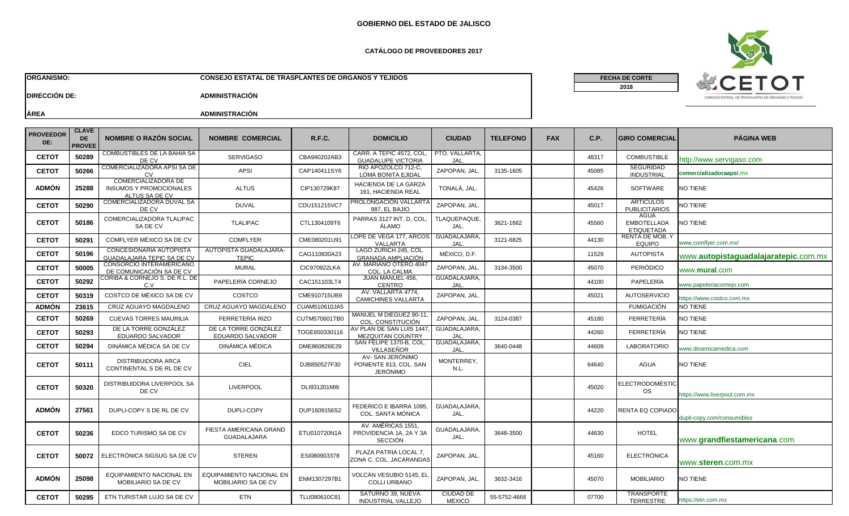## **CATÁLOGO DE PROVEEDORES 2017**

**ORGANISMO: CONSEJO ESTATAL DE TRASPLANTES DE ORGANOS Y TEJIDOS**

**FECHA DE CORTE**

**2018**



**DIRECCIÓN DE: ADMINISTRACIÓN**

| <b>PROVEEDOR</b><br>DE: | <b>CLAVE</b><br><b>DE</b><br><b>PROVEE</b> | <b>NOMBRE O RAZÓN SOCIAL</b>                                            | <b>NOMBRE COMERCIAL</b>                         | <b>R.F.C.</b> | <b>DOMICILIO</b>                                                | <b>CIUDAD</b>              | <b>TELEFONO</b> | <b>FAX</b> | C.P.  | <b>GIRO COMERCIAL</b>                           | <b>PÁGINA WEB</b>                    |
|-------------------------|--------------------------------------------|-------------------------------------------------------------------------|-------------------------------------------------|---------------|-----------------------------------------------------------------|----------------------------|-----------------|------------|-------|-------------------------------------------------|--------------------------------------|
| <b>CETOT</b>            | 50289                                      | COMBUSTIBLES DE LA BAHÍA SA<br>DE CV                                    | <b>SERVIGASO</b>                                | CBA940202AB3  | CARR. A TEPIC 4572, COL<br><b>GUADALUPE VICTORIA</b>            | PTO. VALLARTA,<br>JAL.     |                 |            | 48317 | <b>COMBUSTIBLE</b>                              | http://www.servigaso.com             |
| <b>CETOT</b>            | 50266                                      | COMERCIALIZADORA APSI SA DE<br>CV                                       | APSI                                            | CAP140411SY6  | RIO APOZOLCO 712-C,<br><b>LOMA BONITA EJIDAL</b>                | ZAPOPAN, JAL               | 3135-1605       |            | 45085 | <b>SEGURIDAD</b><br><b>INDUSTRIAL</b>           | comercializadoraapsi.mx              |
| <b>ADMÓN</b>            | 25288                                      | COMERCIALIZADORA DE<br><b>INSUMOS Y PROMOCIONALES</b><br>ALTUS SA DE CV | <b>ALTUS</b>                                    | CIP130729K87  | HACIENDA DE LA GARZA<br>161, HACIENDA REAL                      | TONALÁ, JAL.               |                 |            | 45426 | <b>SOFTWARE</b>                                 | NO TIENE                             |
| <b>CETOT</b>            | 50290                                      | COMERCIALIZADORA DUVAL SA<br>DE CV                                      | <b>DUVAL</b>                                    | CDU151215VC7  | <b>PROLONGACION VALLART/</b><br>987, EL BAJÍO                   | ZAPOPAN, JAL.              |                 |            | 45017 | <b>ARTICULOS</b><br><b>PUBLICITARIOS</b>        | NO TIENE                             |
| <b>CETOT</b>            | 50186                                      | COMERCIALIZADORA TLALIPAC<br>SA DE CV                                   | <b>TLALIPAC</b>                                 | CTL1304109T6  | PARRAS 3127 INT. D, COL<br>ÁLAMO                                | TLAQUEPAQUE,<br>JAL.       | 3621-1662       |            | 45560 | AGUA<br><b>EMBOTELLADA</b><br><b>ETIQUETADA</b> | <b>NO TIENE</b>                      |
| <b>CETOT</b>            | 50291                                      | COMFLYER MÉXICO SA DE CV                                                | <b>COMFLYER</b>                                 | CME080201U91  | LOPE DE VEGA 177, ARCOS GUADALAJARA,<br>VALLARTA                | JAL                        | 3121-6825       |            | 44130 | <b>RENTA DE MOB. Y</b><br><b>EQUIPO</b>         | www.comflyer.com.mx/                 |
| <b>CETOT</b>            | 50196                                      | <b>CONCESIONARIA AUTOPISTA</b><br><b>GUADALAJARA TEPIC SA DE CV</b>     | AUTOPISTA GUADALAJARA-<br><b>TEPIC</b>          | CAG110830A23  | LAGO ZURICH 245, COL<br><b>GRANADA AMPLIACIÓN</b>               | MÉXICO, D.F.               |                 |            | 11529 | <b>AUTOPISTA</b>                                | www.autopistaguadalajaratepic.com.mx |
| <b>CETOT</b>            | 50005                                      | CONSORCIO INTERAMERICANO<br>DE COMUNICACIÓN SA DE CV                    | <b>MURAL</b>                                    | CIC970922LKA  | AV. MARIANO OTERO 4047<br>COL. LA CALMA                         | ZAPOPAN, JAL               | 3134-3500       |            | 45070 | PERIÓDICO                                       | www. <b>mural</b> .com               |
| <b>CETOT</b>            | 50292                                      | CORIBA & CORNEJO S. DE R.L. DE<br>C.V                                   | PAPELERÍA CORNEJO                               | CAC151103LT4  | JUAN MANUEL 456,<br><b>CENTRO</b>                               | GUADALAJARA.<br>IAL.       |                 |            | 44100 | PAPELERÍA                                       | www.papeleriacornejo.com             |
| <b>CETOT</b>            | 50319                                      | COSTCO DE MÉXICO SA DE CV                                               | COSTCO                                          | CME910715UB9  | AV. VALLARTA 4774,<br><b>CAMICHINES VALLARTA</b>                | ZAPOPAN, JAL.              |                 |            | 45021 | <b>AUTOSERVICIO</b>                             | nttps://www.costco.com.mx            |
| <b>ADMÓN</b>            | 23615                                      | CRUZ AGUAYO MAGDALENO                                                   | CRUZ AGUAYO MAGDALENO                           | CUAM510610JA5 |                                                                 |                            |                 |            |       | <b>FUMIGACIÓN</b>                               | NO TIENE                             |
| <b>CETOT</b>            | 50269                                      | CUEVAS TORRES MAURILIA                                                  | FERRETERÍA RIZO                                 | CUTM570601TB0 | <b>MANUEL M DIEGUEZ 90-11</b><br>COL. CONSTITUCIÓN              | ZAPOPAN, JAL               | 3124-0387       |            | 45180 | FERRETERÍA                                      | NO TIENE                             |
| <b>CETOT</b>            | 50293                                      | DE LA TORRE GONZALEZ<br>EDUARDO SALVADOR                                | DE LA TORRE GONZALEZ<br>EDUARDO SALVADOR        | TOGE650330116 | V PLAN DE SAN LUIS 1447<br>MEZQUITAN COUNTRY                    | GUADALAJARA,<br>JAL        |                 |            | 44260 | FERRETERÍA                                      | NO TIENE                             |
| <b>CETOT</b>            | 50294                                      | DINÁMICA MÉDICA SA DE CV                                                | <b>DINÁMICA MÉDICA</b>                          | DME860826E29  | SAN FELIPE 1370-B, COL.<br>VILLASENOR                           | GUADALAJARA,<br>JAL        | 3640-0448       |            | 44609 | <b>LABORATORIO</b>                              | www.dinamicamedica.com               |
| <b>CETOT</b>            | 50111                                      | DISTRIBUIDORA ARCA<br>CONTINENTAL S DE RL DE CV                         | CIEL                                            | DJB850527F30  | AV- SAN JERÓNIMO<br>PONIENTE 813, COL. SAN<br><b>JERÓNIMO</b>   | MONTERREY,<br>N.L.         |                 |            | 64640 | <b>AGUA</b>                                     | <b>NO TIENE</b>                      |
| <b>CETOT</b>            | 50320                                      | DISTRIBUIDORA LIVERPOOL SA<br>DE CV                                     | <b>LIVERPOOL</b>                                | DLI931201MI9  |                                                                 |                            |                 |            | 45020 | ELECTRODOMÉSTIC<br><b>OS</b>                    | nttps://www.liverpool.com.mx         |
| <b>ADMÓN</b>            | 27561                                      | DUPLI-COPY S DE RL DE CV                                                | DUPLI-COPY                                      | DUP1609156S2  | FEDERICO E IBARRA 1095<br>COL. SANTA MÓNICA                     | GUADALAJARA,<br>JAL.       |                 |            | 44220 | RENTA EQ COPIADO                                | dupli-copy.com/consumibles           |
| <b>CETOT</b>            | 50236                                      | EDCO TURISMO SA DE CV                                                   | FIESTA AMERICANA GRAND<br>GUADALAJARA           | ETU010720N1A  | AV. AMÉRICAS 1551,<br>PROVIDENCIA 1A, 2A Y 3A<br><b>SECCIÓN</b> | GUADALAJARA,<br>JAL.       | 3648-3500       |            | 44630 | <b>HOTEL</b>                                    | www.grandfiestamericana.com          |
| <b>CETOT</b>            | 50072                                      | ELECTRÓNICA SIGSUG SA DE CV                                             | <b>STEREN</b>                                   | ESI080903378  | PLAZA PATRIA LOCAL 7,<br>ZONA C, COL. JACARANDAS                | ZAPOPAN, JAL.              |                 |            | 45160 | <b>ELECTRÓNICA</b>                              | www.steren.com.mx                    |
| <b>ADMÓN</b>            | 25098                                      | <b>EQUIPAMIENTO NACIONAL EN</b><br>MOBILIARIO SA DE CV                  | EQUIPAMIENTO NACIONAL EN<br>MOBILIARIO SA DE CV | ENM1307297B1  | VOLCÁN VESUBIO 5145, EL<br><b>COLLI URBANO</b>                  | ZAPOPAN, JAL.              | 3632-3416       |            | 45070 | <b>MOBILIARIO</b>                               | NO TIENE                             |
| <b>CETOT</b>            | 50295                                      | ETN TURISTAR LUJO SA DE CV                                              | <b>ETN</b>                                      | TLU080610C81  | SATURNO 39, NUEVA<br><b>INDUSTRIAL VALLEJO</b>                  | <b>CIUDAD DE</b><br>MÉXICO | 55-5752-4666    |            | 07700 | <b>TRANSPORTE</b><br><b>TERRESTRE</b>           | https://etn.com.mx                   |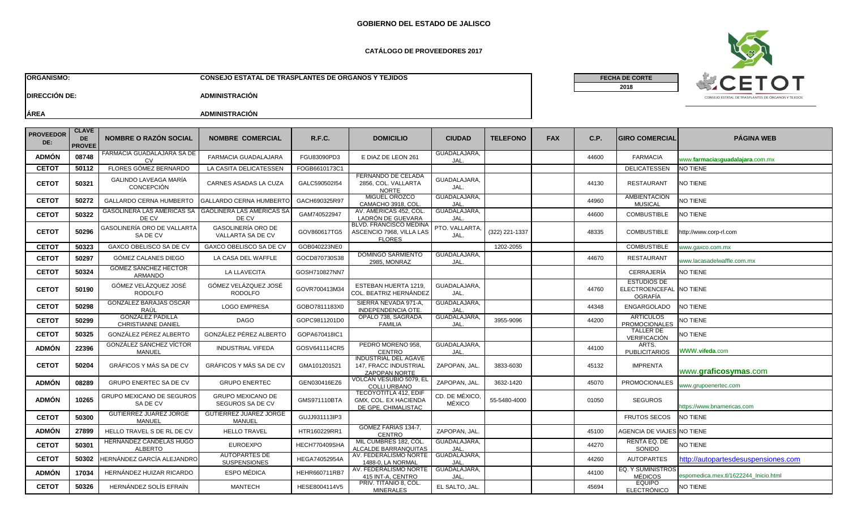### **CATÁLOGO DE PROVEEDORES 2017**

**ORGANISMO: CONSEJO ESTATAL DE TRASPLANTES DE ORGANOS Y TEJIDOS**



**FECHA DE CORTE**

**2018**

**DIRECCIÓN DE: ADMINISTRACIÓN**

| <b>PROVEEDOR</b><br>DE: | <b>CLAVE</b><br>DE<br><b>PROVEE</b> | <b>NOMBRE O RAZÓN SOCIAL</b>                         | <b>NOMBRE COMERCIAL</b>                      | R.F.C.        | <b>DOMICILIO</b>                                                             | <b>CIUDAD</b>                  | <b>TELEFONO</b> | <b>FAX</b> | C.P.  | <b>IGIRO COMERCIALI</b>                                  | <b>PÁGINA WEB</b>                     |
|-------------------------|-------------------------------------|------------------------------------------------------|----------------------------------------------|---------------|------------------------------------------------------------------------------|--------------------------------|-----------------|------------|-------|----------------------------------------------------------|---------------------------------------|
| <b>ADMÓN</b>            | 08748                               | FARMACIA GUADALAJARA SA DE<br>CV                     | FARMACIA GUADALAJARA                         | FGU83090PD3   | E DIAZ DE LEON 261                                                           | <b>GUADALAJARA</b><br>JAL.     |                 |            | 44600 | <b>FARMACIA</b>                                          | www.farmaciasguadalajara.com.mx       |
| <b>CETOT</b>            | 50112                               | FLORES GÓMEZ BERNARDO                                | LA CASITA DELICATESSEN                       | FOGB6610173C1 |                                                                              |                                |                 |            |       | <b>DELICATESSEN</b>                                      | <b>NO TIENE</b>                       |
| <b>CETOT</b>            | 50321                               | GALINDO LAVEAGA MARÍA<br><b>CONCEPCIÓN</b>           | CARNES ASADAS LA CUZA                        | GALC590502I54 | <b>FERNANDO DE CELADA</b><br>2856, COL. VALLARTA<br><b>NORTE</b>             | <b>GUADALAJARA</b><br>JAL.     |                 |            | 44130 | <b>RESTAURANT</b>                                        | <b>NO TIENE</b>                       |
| <b>CETOT</b>            | 50272                               | GALLARDO CERNA HUMBERTO                              | GALLARDO CERNA HUMBERT(                      | GACH690325R97 | MIGUEL OROZCO<br>CAMACHO 3918, COL                                           | GUADALAJARA,<br>JAL.           |                 |            | 44960 | <b>AMBIENTACIÓN</b><br><b>MUSICAL</b>                    | <b>NO TIENE</b>                       |
| <b>CETOT</b>            | 50322                               | GASOLINERA LAS AMÉRICAS SA<br>DE CV                  | <b>GAOLINERA LAS AMÉRICAS SA</b><br>DE CV    | GAM740522947  | AV. AMERICAS 452, COL<br>LADRÓN DE GUEVARA                                   | GUADALAJARA,<br>JAL.           |                 |            | 44600 | <b>COMBUSTIBLE</b>                                       | NO TIENE                              |
| <b>CETOT</b>            | 50296                               | GASOLINERÍA ORO DE VALLARTA<br>SA DE CV              | GASOLINERÍA ORO DE<br>VALLARTA SA DE CV      | GOV860617TG5  | <b>BLVD. FRANCISCO MEDINA</b><br>ASCENCIO 7968, VILLA LAS<br><b>FLORES</b>   | PTO. VALLARTA<br>JAL.          | (322) 221-1337  |            | 48335 | <b>COMBUSTIBLE</b>                                       | http://www.corp-rl.com                |
| <b>CETOT</b>            | 50323                               | GAXCO OBELISCO SA DE CV                              | GAXCO OBELISCO SA DE CV                      | GOB040223NE0  |                                                                              |                                | 1202-2055       |            |       | <b>COMBUSTIBLE</b>                                       | www.gaxco.com.mx                      |
| <b>CETOT</b>            | 50297                               | GÓMEZ CALANES DIEGO                                  | LA CASA DEL WAFFLE                           | GOCD870730S38 | <b>DOMINGO SARMIENTO</b><br>2985, MONRAZ                                     | GUADALAJARA,<br>JAL.           |                 |            | 44670 | <b>RESTAURANT</b>                                        | www.lacasadelwaffle.com.mx            |
| <b>CETOT</b>            | 50324                               | <b>GOMEZ SANCHEZ HECTOR</b><br><b>ARMANDO</b>        | LA LLAVECITA                                 | GOSH710827NN7 |                                                                              |                                |                 |            |       | CERRAJERÍA                                               | NO TIENE                              |
| <b>CETOT</b>            | 50190                               | GÓMEZ VELÁZQUEZ JOSÉ<br><b>RODOLFO</b>               | GÓMEZ VELÁZQUEZ JOSÉ<br><b>RODOLFO</b>       | GOVR700413M34 | ESTEBAN HUERTA 1219,<br>COL. BEATRIZ HERNÁNDEZ                               | <b>GUADALAJARA</b><br>JAL.     |                 |            | 44760 | <b>ESTUDIOS DE</b><br>ELECTROENCEFAL NO TIENE<br>OGRAFÍA |                                       |
| <b>CETOT</b>            | 50298                               | <b>GONZÁLEZ BARAJAS OSCAR</b><br>RAÚL                | <b>LOGO EMPRESA</b>                          | GOBO7811183X0 | SIERRA NEVADA 971-A.<br>INDEPENDENCIA OTE.                                   | GUADALAJARA,<br>JAL            |                 |            | 44348 | <b>ENGARGOLADO</b>                                       | NO TIENE                              |
| <b>CETOT</b>            | 50299                               | <b>GONZALEZ PADILLA</b><br><b>CHRISTIANNE DANIEL</b> | <b>DAGO</b>                                  | GOPC9811201D0 | OPALO 738, SAGRADA<br><b>FAMILIA</b>                                         | GUADALAJARA,<br>JAL            | 3955-9096       |            | 44200 | <b>ARTICULOS</b><br><b>PROMOCIONALES</b>                 | NO TIENE                              |
| <b>CETOT</b>            | 50325                               | GONZÁLEZ PÉREZ ALBERTO                               | GONZÁLEZ PÉREZ ALBERTO                       | GOPA670418IC1 |                                                                              |                                |                 |            |       | TALLER DE<br><b>VERIFICACIÓN</b>                         | NO TIENE                              |
| <b>ADMÓN</b>            | 22396                               | <b>GONZALEZ SANCHEZ VICTOR</b><br>MANUEL             | <b>INDUSTRIAL VIFEDA</b>                     | GOSV641114CR5 | PEDRO MORENO 958.<br><b>CENTRO</b>                                           | GUADALAJARA,<br>JAL.           |                 |            | 44100 | ARTS.<br><b>PUBLICITARIOS</b>                            | WWW.vifeda.com                        |
| <b>CETOT</b>            | 50204                               | GRÁFICOS Y MÁS SA DE CV                              | <b>GRÁFICOS Y MÁS SA DE CV</b>               | GMA101201521  | <b>INDUSTRIAL DEL AGAVE</b><br>147, FRACC INDUSTRIAL<br><b>ZAPOPAN NORTE</b> | ZAPOPAN, JAL                   | 3833-6030       |            | 45132 | <b>IMPRENTA</b>                                          | www.graficosymas.com                  |
| <b>ADMÓN</b>            | 08289                               | <b>GRUPO ENERTEC SA DE CV</b>                        | <b>GRUPO ENERTEC</b>                         | GEN030416EZ6  | VOLCÁN VESUBIO 5079, EL<br><b>COLLI URBANO</b>                               | ZAPOPAN, JAL                   | 3632-1420       |            | 45070 | <b>PROMOCIONALES</b>                                     | www.grupoenertec.com                  |
| <b>ADMÓN</b>            | 10265                               | GRUPO MEXICANO DE SEGUROS<br>SA DE CV                | <b>GRUPO MEXICANO DE</b><br>SEGUROS SA DE CV | GMS971110BTA  | <b>TECOYOTITLA 412, EDIF</b><br>GMX, COL. EX HACIENDA<br>DE GPE. CHIMALISTAC | CD. DE MÉXICO<br><b>MÉXICO</b> | 55-5480-4000    |            | 01050 | <b>SEGUROS</b>                                           | https://www.bnamericas.com            |
| <b>CETOT</b>            | 50300                               | <b>GUTIERREZ JUAREZ JORGE</b><br><b>MANUEL</b>       | <b>GUTIERREZ JUAREZ JORGE</b><br>MANUEL      | GUJJ931113IP3 |                                                                              |                                |                 |            |       | <b>FRUTOS SECOS</b>                                      | NO TIENE                              |
| <b>ADMÓN</b>            | 27899                               | HELLO TRAVEL S DE RL DE CV                           | <b>HELLO TRAVEL</b>                          | HTR160229RR1  | GOMEZ FARIAS 134-7,<br><b>CENTRO</b>                                         | ZAPOPAN, JAL.                  |                 |            | 45100 | <b>AGENCIA DE VIAJES</b>                                 | NO TIENE                              |
| <b>CETOT</b>            | 50301                               | HERNANDEZ CANDELAS HUGO<br><b>ALBERTO</b>            | <b>EUROEXPO</b>                              | HECH770409SHA | MIL CUMBRES 182, COL<br>ALCALDE BARRANQUITAS                                 | GUADALAJARA.<br>JAL            |                 |            | 44270 | RENTA EQ. DE<br>SONIDO                                   | NO TIENE                              |
| <b>CETOT</b>            | 50302                               | <del>I</del> ERNÁNDEZ GARCÍA ALEJANDRO               | <b>AUTOPARTES DE</b><br><b>SUSPENSIONES</b>  | HEGA74052954A | AV. FEDERALISMO NORTE<br>1488-0, LA NORMAL                                   | GUADALAJARA,<br>JAL            |                 |            | 44260 | <b>AUTOPARTES</b>                                        | http://autopartesdesuspensiones.com   |
| <b>ADMÓN</b>            | 17034                               | HERNÁNDEZ HUIZAR RICARDO                             | <b>ESPO MÉDICA</b>                           | HEHR660711RB7 | AV. FEDERALISMO NORTE<br>415 INT-A, CENTRO                                   | GUADALAJARA,<br>JAL            |                 |            | 44100 | <b>EQ. Y SUMINISTROS</b><br><b>MÉDICOS</b>               | espomedica.mex.tl/1622244_Inicio.html |
| <b>CETOT</b>            | 50326                               | HERNÁNDEZ SOLÍS EFRAÍN                               | <b>MANTECH</b>                               | HESE8004114V5 | PRIV. TITANIO 8, COL.<br><b>MINERALES</b>                                    | EL SALTO, JAL.                 |                 |            | 45694 | <b>EQUIPO</b><br>ELECTRÓNICO                             | NO TIENE                              |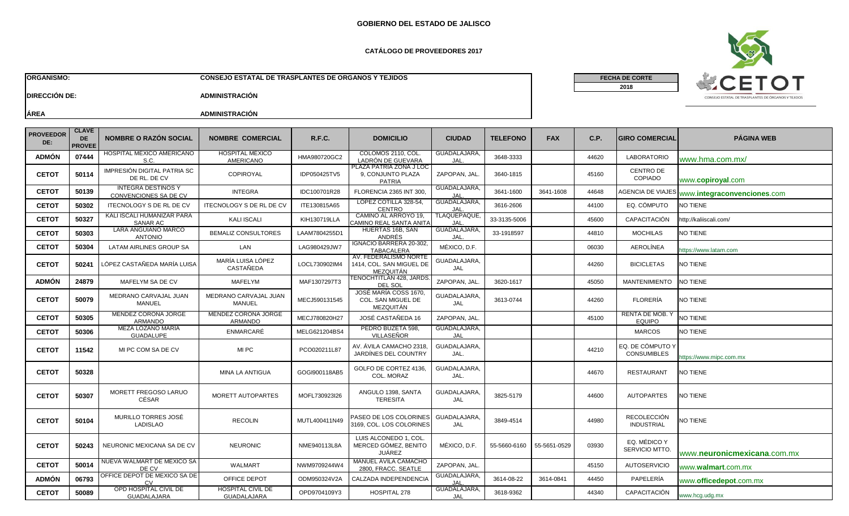# **GOBIERNO DEL ESTADO DE JALISCO**

#### **CATÁLOGO DE PROVEEDORES 2017**

**ORGANISMO: CONSEJO ESTATAL DE TRASPLANTES DE ORGANOS Y TEJIDOS**



**FECHA DE CORTE**

**2018**

**DIRECCIÓN DE: ADMINISTRACIÓN**

| <b>PROVEEDOR</b><br>DE: | <b>CLAVE</b><br><b>DE</b><br><b>PROVEE</b> | <b>NOMBRE O RAZÓN SOCIAL</b>                       | <b>NOMBRE COMERCIAL</b>                    | <b>R.F.C.</b> | <b>DOMICILIO</b>                                               | <b>CIUDAD</b>              | <b>TELEFONO</b> | <b>FAX</b>   | C.P.  | <b>IGIRO COMERCIAL</b>                  | <b>PÁGINA WEB</b>                    |
|-------------------------|--------------------------------------------|----------------------------------------------------|--------------------------------------------|---------------|----------------------------------------------------------------|----------------------------|-----------------|--------------|-------|-----------------------------------------|--------------------------------------|
| <b>ADMÓN</b>            | 07444                                      | HOSPITAL MÉXICO AMERICANO<br>S.C.                  | <b>HOSPITAL MÉXICO</b><br><b>AMERICANO</b> | HMA980720GC2  | COLOMOS 2110, COL<br>LADRÓN DE GUEVARA                         | GUADALAJARA,<br>JAL        | 3648-3333       |              | 44620 | <b>LABORATORIO</b>                      | www.hma.com.mx/                      |
| <b>CETOT</b>            | 50114                                      | IMPRESIÓN DIGITAL PATRIA SC<br>DE RL. DE CV        | COPIROYAL                                  | IDP050425TV5  | PLAZA PATRIA ZONA J LOC<br>9. CONJUNTO PLAZA<br><b>PATRIA</b>  | ZAPOPAN, JAL               | 3640-1815       |              | 45160 | <b>CENTRO DE</b><br>COPIADO             | www.copiroyal.com                    |
| <b>CETOT</b>            | 50139                                      | <b>INTEGRA DESTINOS Y</b><br>CONVENCIONES SA DE CV | <b>INTEGRA</b>                             | IDC100701R28  | FLORENCIA 2365 INT 300.                                        | GUADALAJARA,<br>IAL.       | 3641-1600       | 3641-1608    | 44648 | <b>AGENCIA DE VIAJES</b>                | www.integraconvenciones.com          |
| <b>CETOT</b>            | 50302                                      | ITECNOLOGY S DE RL DE CV                           | <b>ITECNOLOGY S DE RL DE CV</b>            | ITE130815A65  | LOPEZ COTILLA 328-54,<br><b>CENTRO</b>                         | GUADALAJARA,<br>JAL        | 3616-2606       |              | 44100 | EQ. CÓMPUTO                             | NO TIENE                             |
| <b>CETOT</b>            | 50327                                      | KALI ISCALI HUMANIZAR PARA<br>SANAR AC             | <b>KALI ISCALI</b>                         | KIH130719LLA  | CAMINO AL ARROYO 19,<br>AMINO REAL SANTA ANITA:                | <b>TLAQUEPAQUE</b><br>JAL  | 33-3135-5006    |              | 45600 | CAPACITACIÓN                            | http://kaliiscali.com/               |
| <b>CETOT</b>            | 50303                                      | LARA ANGUIANO MARCO<br><b>ANTONIO</b>              | <b>BEMALIZ CONSULTORES</b>                 | LAAM7804255D  | HUERTAS 16B, SAN<br>ANDRÉS                                     | GUADALAJARA,<br>JAL        | 33-1918597      |              | 44810 | <b>MOCHILAS</b>                         | NO TIENE                             |
| <b>CETOT</b>            | 50304                                      | LATAM AIRLINES GROUP SA                            | LAN                                        | LAG980429JW7  | IGNACIO BARRERA 20-302,<br><b>TABACALERA</b>                   | MÉXICO, D.F.               |                 |              | 06030 | <b>AEROLÍNEA</b>                        | https://www.latam.com                |
| <b>CETOT</b>            | 50241                                      | LÓPEZ CASTAÑEDA MARÍA LUISA                        | MARÍA LUISA LÓPEZ<br><b>CASTAÑEDA</b>      | LOCL730902IM4 | AV. FEDERALISMO NORTE<br>1414. COL. SAN MIGUEL DE<br>MEZQUITÁN | GUADALAJARA,<br>JAL        |                 |              | 44260 | <b>BICICLETAS</b>                       | NO TIENE                             |
| <b>ADMÓN</b>            | 24879                                      | MAFELYM SA DE CV                                   | MAFELYM                                    | MAF1307297T3  | <b>TENOCHTITLAN 428, JARDS</b><br>DEL SOL                      | ZAPOPAN, JAL               | 3620-1617       |              | 45050 | <b>MANTENIMIENTO</b>                    | <b>NO TIENE</b>                      |
| <b>CETOT</b>            | 50079                                      | MEDRANO CARVAJAL JUAN<br><b>MANUEL</b>             | MEDRANO CARVAJAL JUAN<br><b>MANUEL</b>     | MECJ590131545 | JOSÉ MARÍA COSS 1670,<br>COL. SAN MIGUEL DE<br>MEZQUITÁN       | GUADALAJARA,<br><b>JAL</b> | 3613-0744       |              | 44260 | <b>FLORERÍA</b>                         | <b>NO TIENE</b>                      |
| <b>CETOT</b>            | 50305                                      | <b>MENDEZ CORONA JORGE</b><br><b>ARMANDO</b>       | MENDEZ CORONA JORGE<br>ARMANDO             | MECJ780820H27 | JOSÉ CASTAÑEDA 16                                              | ZAPOPAN, JAL.              |                 |              | 45100 | RENTA DE MOB. Y<br><b>EQUIPO</b>        | NO TIENE                             |
| <b>CETOT</b>            | 50306                                      | MEZA LOZANO MARIA<br><b>GUADALUPE</b>              | ENMARCARÉ                                  | MELG621204BS4 | PEDRO BUZETA 598.<br><b>VILLASEÑOR</b>                         | GUADALAJARA.<br>JAL        |                 |              |       | <b>MARCOS</b>                           | NO TIENE                             |
| <b>CETOT</b>            | 11542                                      | MI PC COM SA DE CV                                 | MI PC                                      | PCO020211L87  | AV. ÁVILA CAMACHO 2318<br>JARDÍNES DEL COUNTRY                 | GUADALAJARA,<br>JAL.       |                 |              | 44210 | EQ. DE CÓMPUTO Y<br><b>CONSUMIBLES</b>  | nttps://www.mipc.com.mx              |
| <b>CETOT</b>            | 50328                                      |                                                    | <b>MINA LA ANTIGUA</b>                     | GOGI900118AB5 | GOLFO DE CORTEZ 4136.<br>COL. MORAZ                            | GUADALAJARA.<br>JAL.       |                 |              | 44670 | <b>RESTAURANT</b>                       | <b>NO TIENE</b>                      |
| <b>CETOT</b>            | 50307                                      | MORETT FREGOSO LARUO<br>CÉSAR                      | MORETT AUTOPARTES                          | MOFL730923I26 | ANGULO 1398, SANTA<br><b>TERESITA</b>                          | GUADALAJARA,<br>JAL        | 3825-5179       |              | 44600 | <b>AUTOPARTES</b>                       | <b>NO TIENE</b>                      |
| <b>CETOT</b>            | 50104                                      | MURILLO TORRES JOSÉ<br>LADISLAO                    | <b>RECOLIN</b>                             | MUTL400411N49 | PASEO DE LOS COLORINES<br>3169, COL. LOS COLORINES             | GUADALAJARA,<br>JAL        | 3849-4514       |              | 44980 | <b>RECOLECCIÓN</b><br><b>INDUSTRIAL</b> | <b>NO TIENE</b>                      |
| <b>CETOT</b>            | 50243                                      | NEURONIC MEXICANA SA DE CV                         | <b>NEURONIC</b>                            | NME940113L8A  | LUIS ALCONEDO 1, COL<br>MERCED GÓMEZ, BENITO<br><b>JUÁREZ</b>  | MÉXICO, D.F.               | 55-5660-6160    | 55-5651-0529 | 03930 | EQ. MÉDICO Y<br>SERVICIO MTTO.          | www. <b>neuronicmexicana</b> .com.mx |
| <b>CETOT</b>            | 50014                                      | NUEVA WALMART DE MEXICO SA<br>DE CV                | <b>WALMART</b>                             | NWM9709244W4  | MANUEL AVILA CAMACHO<br>2800. FRACC. SEATLE                    | ZAPOPAN, JAL.              |                 |              | 45150 | <b>AUTOSERVICIO</b>                     | www. <b>walmart</b> .com.mx          |
| <b>ADMÓN</b>            | 06793                                      | OFFICE DEPOT DE MEXICO SA DE                       | OFFICE DEPOT                               | ODM950324V2A  | CALZADA INDEPENDENCIA                                          | GUADALAJARA,               | 3614-08-22      | 3614-0841    | 44450 | PAPELERÍA                               | www. <b>officedepot</b> .com.mx      |
| <b>CETOT</b>            | 50089                                      | OPD HOSPITAL CIVIL DE<br><b>GUADALAJARA</b>        | <b>HOSPITAL CIVIL DE</b><br>GUADALAJARA    | OPD9704109Y3  | HOSPITAL 278                                                   | GUADALAJARA,<br>JAL        | 3618-9362       |              | 44340 | CAPACITACIÓN                            | www.hcg.udg.mx                       |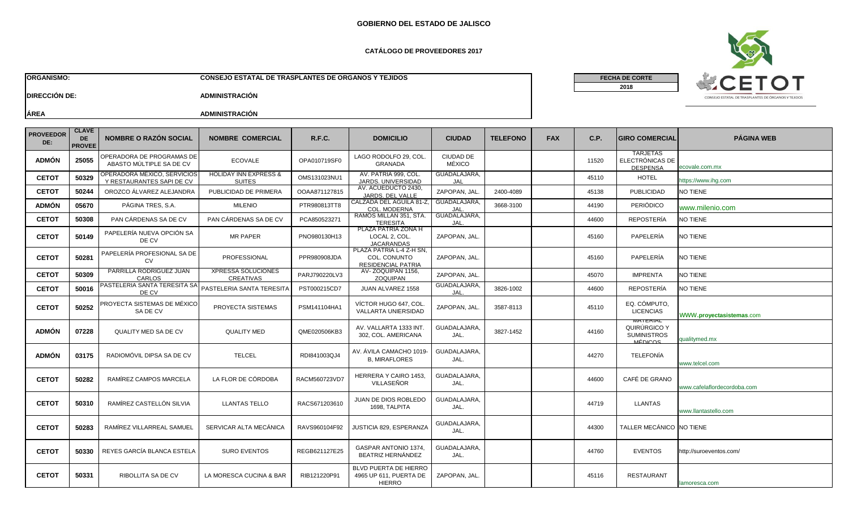# **GOBIERNO DEL ESTADO DE JALISCO**

#### **CATÁLOGO DE PROVEEDORES 2017**

**ORGANISMO: CONSEJO ESTATAL DE TRASPLANTES DE ORGANOS Y TEJIDOS**

**FECHA DE CORTE**

**2018**



**DIRECCIÓN DE: ADMINISTRACIÓN**

| <b>PROVEEDOR</b><br>DE: | <b>CLAVE</b><br><b>DE</b><br><b>PROVEE</b> | <b>NOMBRE O RAZÓN SOCIAL</b>                             | <b>NOMBRE COMERCIAL</b>                           | <b>R.F.C.</b> | <b>DOMICILIO</b>                                                      | <b>CIUDAD</b>              | <b>TELEFONO</b> | <b>FAX</b> | C.P.  | <b>GIRO COMERCIAL</b>                                                   | <b>PÁGINA WEB</b>           |
|-------------------------|--------------------------------------------|----------------------------------------------------------|---------------------------------------------------|---------------|-----------------------------------------------------------------------|----------------------------|-----------------|------------|-------|-------------------------------------------------------------------------|-----------------------------|
| <b>ADMÓN</b>            | 25055                                      | OPERADORA DE PROGRAMAS DE<br>ABASTO MÚLTIPLE SA DE CV    | <b>ECOVALE</b>                                    | OPA010719SF0  | LAGO RODOLFO 29, COL<br><b>GRANADA</b>                                | <b>CIUDAD DE</b><br>MÉXICO |                 |            | 11520 | <b>TARJETAS</b><br>ELECTRÓNICAS DE<br><b>DESPENSA</b>                   | ecovale.com.mx              |
| <b>CETOT</b>            | 50329                                      | OPERADORA MÉXICO, SERVICIOS<br>Y RESTAURANTES SAPI DE CV | <b>HOLIDAY INN EXPRESS &amp;</b><br><b>SUITES</b> | OMS131023NU1  | AV. PATRIA 999, COL.<br>JARDS, UNIVERSIDAD                            | GUADALAJARA,<br>JAL        |                 |            | 45110 | <b>HOTEL</b>                                                            | ittps://www.ihg.com         |
| <b>CETOT</b>            | 50244                                      | OROZCO ÁLVAREZ ALEJANDRA                                 | PUBLICIDAD DE PRIMERA                             | OOAA871127815 | AV. ACUEDUCTO 2430,<br>JARDS. DEL VALLE                               | ZAPOPAN, JAL               | 2400-4089       |            | 45138 | <b>PUBLICIDAD</b>                                                       | NO TIENE                    |
| <b>ADMÓN</b>            | 05670                                      | PÁGINA TRES. S.A.                                        | <b>MILENIO</b>                                    | PTR980813TT8  | CALZADA DEL AGUILA 81-Z,<br>COL. MODERNA                              | GUADALAJARA,<br>JAL        | 3668-3100       |            | 44190 | <b>PERIÓDICO</b>                                                        | www.milenio.com             |
| <b>CETOT</b>            | 50308                                      | PAN CÁRDENAS SA DE CV                                    | PAN CÁRDENAS SA DE CV                             | PCA85052327   | RAMÓS MILLÁN 351, STA.<br><b>TERESITA</b>                             | GUADALAJARA,<br>JAL.       |                 |            | 44600 | <b>REPOSTERÍA</b>                                                       | NO TIENE                    |
| <b>CETOT</b>            | 50149                                      | PAPELERÍA NUEVA OPCIÓN SA<br>DE CV                       | <b>MR PAPER</b>                                   | PNO980130H13  | PLAZA PATRIA ZONA H<br>LOCAL 2. COL<br><b>JACARANDAS</b>              | ZAPOPAN, JAL.              |                 |            | 45160 | PAPELERÍA                                                               | <b>NO TIENE</b>             |
| <b>CETOT</b>            | 50281                                      | PAPELERÍA PROFESIONAL SA DE<br><b>CV</b>                 | PROFESSIONAL                                      | PPR980908JDA  | PLAZA PATRIA L-4 Z-H SN.<br>COL. CONUNTO<br><b>RESIDENCIAL PATRIA</b> | ZAPOPAN, JAL.              |                 |            | 45160 | PAPELERÍA                                                               | NO TIENE                    |
| <b>CETOT</b>            | 50309                                      | PARRILLA RODRÍGUEZ JUAN<br>CARLOS                        | <b>XPRESSA SOLUCIONES</b><br><b>CREATIVAS</b>     | PARJ790220LV3 | AV-ZOQUIPAN 1156,<br><b>ZOQUIPAN</b>                                  | ZAPOPAN, JAL.              |                 |            | 45070 | <b>IMPRENTA</b>                                                         | NO TIENE                    |
| <b>CETOT</b>            | 50016                                      | PASTELERIA SANTA TERESITA SA<br>DE CV                    | PASTELERIA SANTA TERESITA                         | PST000215CD7  | JUAN ALVAREZ 1558                                                     | GUADALAJARA,<br><b>JAL</b> | 3826-1002       |            | 44600 | REPOSTERÍA                                                              | NO TIENE                    |
| <b>CETOT</b>            | 50252                                      | PROYECTA SISTEMAS DE MÉXICO<br>SA DE CV                  | PROYECTA SISTEMAS                                 | PSM141104HA1  | VÍCTOR HUGO 647, COL.<br><b>VALLARTA UNIERSIDAD</b>                   | ZAPOPAN, JAL.              | 3587-8113       |            | 45110 | EQ. CÓMPUTO,<br><b>LICENCIAS</b>                                        | WWW.proyectasistemas.com    |
| <b>ADMÓN</b>            | 07228                                      | <b>QUALITY MED SA DE CV</b>                              | <b>QUALITY MED</b>                                | QME020506KB3  | AV. VALLARTA 1333 INT.<br>302, COL. AMERICANA                         | GUADALAJARA<br>JAL.        | 3827-1452       |            | 44160 | <b><i>NATERIAL</i></b><br>QUIRÚRGICO Y<br><b>SUMINISTROS</b><br>MÉDICOS | qualitymed.mx               |
| <b>ADMÓN</b>            | 03175                                      | RADIOMÓVIL DIPSA SA DE CV                                | <b>TELCEL</b>                                     | RDI841003QJ4  | AV. ÁVILA CAMACHO 1019-<br><b>B. MIRAFLORES</b>                       | GUADALAJARA<br>JAL.        |                 |            | 44270 | <b>TELEFONÍA</b>                                                        | www.telcel.com              |
| <b>CETOT</b>            | 50282                                      | RAMÍREZ CAMPOS MARCELA                                   | LA FLOR DE CÓRDOBA                                | RACM560723VD7 | <b>HERRERA Y CAIRO 1453.</b><br>VILLASEÑOR                            | <b>GUADALAJARA</b><br>JAL. |                 |            | 44600 | CAFÉ DE GRANO                                                           | www.cafelaflordecordoba.com |
| <b>CETOT</b>            | 50310                                      | RAMÍREZ CASTELLÓN SILVIA                                 | <b>LLANTAS TELLO</b>                              | RACS671203610 | <b>JUAN DE DIOS ROBLEDO</b><br>1698, TALPITA                          | GUADALAJARA<br>JAL.        |                 |            | 44719 | <b>LLANTAS</b>                                                          | www.llantastello.com        |
| <b>CETOT</b>            | 50283                                      | RAMÍREZ VILLARREAL SAMUEL                                | SERVICAR ALTA MECÁNICA                            | RAVS960104F92 | JUSTICIA 829, ESPERANZA                                               | GUADALAJARA<br>JAL.        |                 |            | 44300 | TALLER MECÁNICO NO TIENE                                                |                             |
| <b>CETOT</b>            | 50330                                      | REYES GARCÍA BLANCA ESTELA                               | <b>SURO EVENTOS</b>                               | REGB621127E25 | GASPAR ANTONIO 1374,<br>BEATRIZ HERNÁNDEZ                             | GUADALAJARA<br>JAL.        |                 |            | 44760 | <b>EVENTOS</b>                                                          | http://suroeventos.com/     |
| <b>CETOT</b>            | 50331                                      | <b>RIBOLLITA SA DE CV</b>                                | LA MORESCA CUCINA & BAR                           | RIB121220P91  | BLVD PUERTA DE HIERRO<br>4965 UP 611, PUERTA DE<br><b>HIERRO</b>      | ZAPOPAN, JAL.              |                 |            | 45116 | <b>RESTAURANT</b>                                                       | lamoresca.com               |